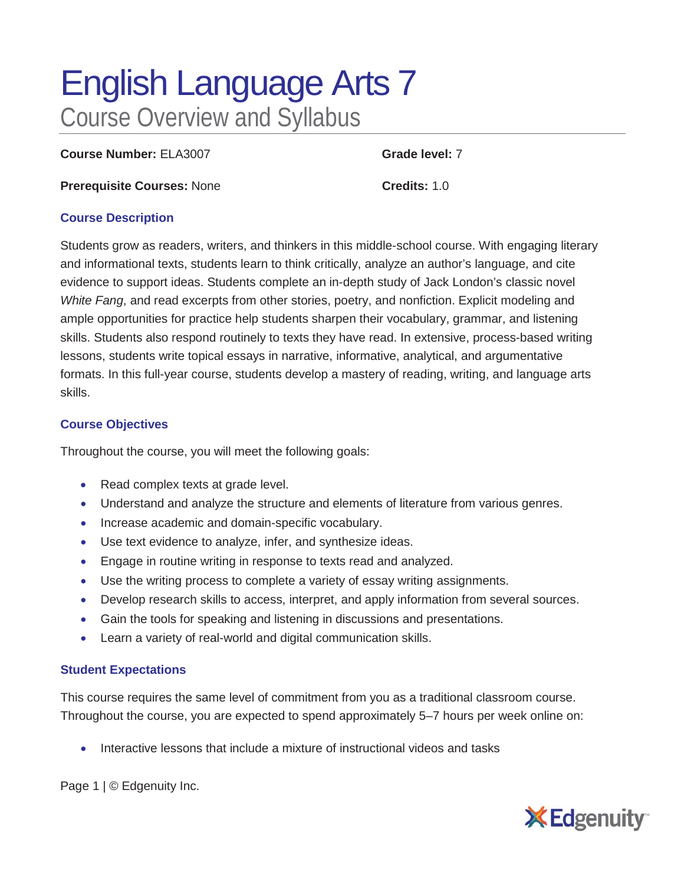# English Language Arts 7 Course Overview and Syllabus

**Course Number:** ELA3007 **Grade level:** 7

**Prerequisite Courses:** None **Credits:** 1.0

## **Course Description**

Students grow as readers, writers, and thinkers in this middle-school course. With engaging literary and informational texts, students learn to think critically, analyze an author's language, and cite evidence to support ideas. Students complete an in-depth study of Jack London's classic novel *White Fang*, and read excerpts from other stories, poetry, and nonfiction. Explicit modeling and ample opportunities for practice help students sharpen their vocabulary, grammar, and listening skills. Students also respond routinely to texts they have read. In extensive, process-based writing lessons, students write topical essays in narrative, informative, analytical, and argumentative formats. In this full-year course, students develop a mastery of reading, writing, and language arts skills.

## **Course Objectives**

Throughout the course, you will meet the following goals:

- Read complex texts at grade level.
- Understand and analyze the structure and elements of literature from various genres.
- Increase academic and domain-specific vocabulary.
- Use text evidence to analyze, infer, and synthesize ideas.
- Engage in routine writing in response to texts read and analyzed.
- Use the writing process to complete a variety of essay writing assignments.
- Develop research skills to access, interpret, and apply information from several sources.
- Gain the tools for speaking and listening in discussions and presentations.
- Learn a variety of real-world and digital communication skills.

#### **Student Expectations**

This course requires the same level of commitment from you as a traditional classroom course. Throughout the course, you are expected to spend approximately 5–7 hours per week online on:

• Interactive lessons that include a mixture of instructional videos and tasks

Page 1 | © Edgenuity Inc.